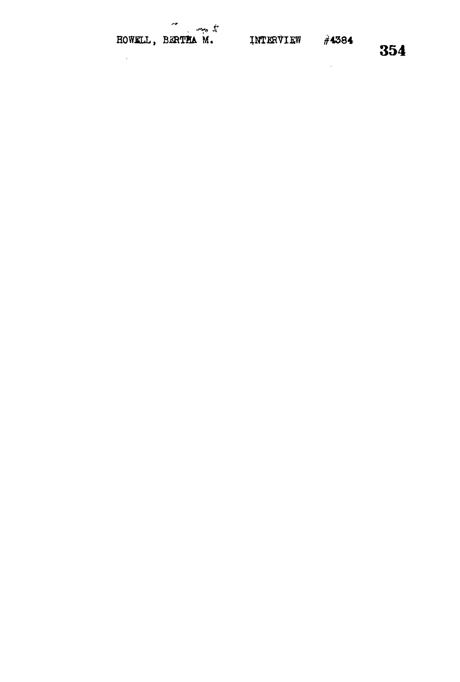$\sim$   $\sim$ 

 $\mathcal{A}^{\mathcal{A}}$ 

**354**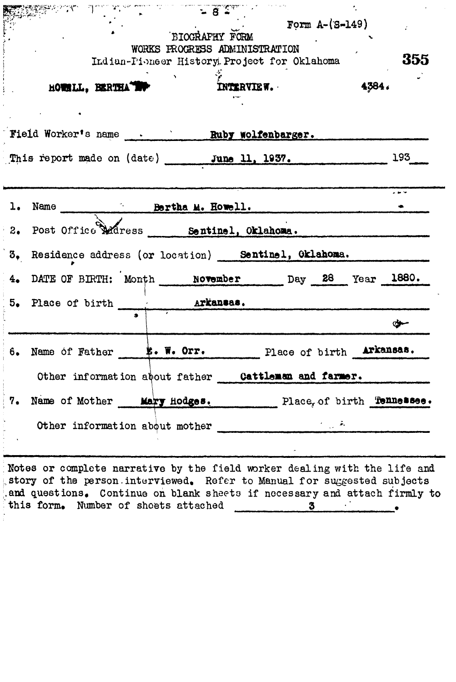|    | Society and the company of the second the second that the second second the second second that the second second the second second second second second second second second second second second second second second second |                               |                                                      |       |     |
|----|-------------------------------------------------------------------------------------------------------------------------------------------------------------------------------------------------------------------------------|-------------------------------|------------------------------------------------------|-------|-----|
|    |                                                                                                                                                                                                                               |                               | $Form A-(S-149)$<br>BIOGRAFHY FORM                   |       |     |
|    |                                                                                                                                                                                                                               | WORKS PROGRESS ADMINISTRATION |                                                      |       |     |
|    |                                                                                                                                                                                                                               |                               | Indian-Pioneer History. Project for Oklahoma         |       | 355 |
|    |                                                                                                                                                                                                                               |                               |                                                      |       |     |
|    | HOWNLL, BERTHATER                                                                                                                                                                                                             |                               | INTERVIEW.                                           | 4384. |     |
|    |                                                                                                                                                                                                                               |                               |                                                      |       |     |
|    | Field Worker's name . Ruby wolfenbarger.                                                                                                                                                                                      |                               |                                                      |       |     |
|    |                                                                                                                                                                                                                               |                               |                                                      |       |     |
|    | This report made on (date) June 11, 1937.                                                                                                                                                                                     |                               |                                                      |       | 193 |
|    |                                                                                                                                                                                                                               |                               |                                                      |       |     |
|    |                                                                                                                                                                                                                               |                               |                                                      |       |     |
|    | 1. Name Bertha M. Howell.                                                                                                                                                                                                     |                               |                                                      |       |     |
|    | 2. Post Office Madress _____ Sentinel, Oklahoma.                                                                                                                                                                              |                               |                                                      |       |     |
|    |                                                                                                                                                                                                                               |                               |                                                      |       |     |
|    | 3, Residence address (or location) Sentinel, Oklahoma.                                                                                                                                                                        |                               |                                                      |       |     |
| 4. | DATE OF BIRTH: Month November Day 28 Year 1880.                                                                                                                                                                               |                               |                                                      |       |     |
|    |                                                                                                                                                                                                                               |                               |                                                      |       |     |
|    |                                                                                                                                                                                                                               |                               |                                                      |       | σ₩  |
| 6. | Name of Father 5. W. Orr. Place of birth Arkansas.                                                                                                                                                                            |                               |                                                      |       |     |
|    |                                                                                                                                                                                                                               |                               |                                                      |       |     |
|    |                                                                                                                                                                                                                               |                               | Other information about father Cattleman and farmer. |       |     |
|    |                                                                                                                                                                                                                               |                               |                                                      |       |     |
| 7. | Name of Mother Mary Hodges. Place, of birth Tennessee.                                                                                                                                                                        |                               |                                                      |       |     |
|    | Other information about mother                                                                                                                                                                                                |                               |                                                      |       |     |
|    |                                                                                                                                                                                                                               |                               |                                                      |       |     |

rative by the field worker dealing with the field worker  $\alpha$ .story of the person.interviewed. Refer to Manual for suggested subjects and questions. Continue on blank sheets if necessary and attach firmly to this form» Number of sheets ettached **3** •' •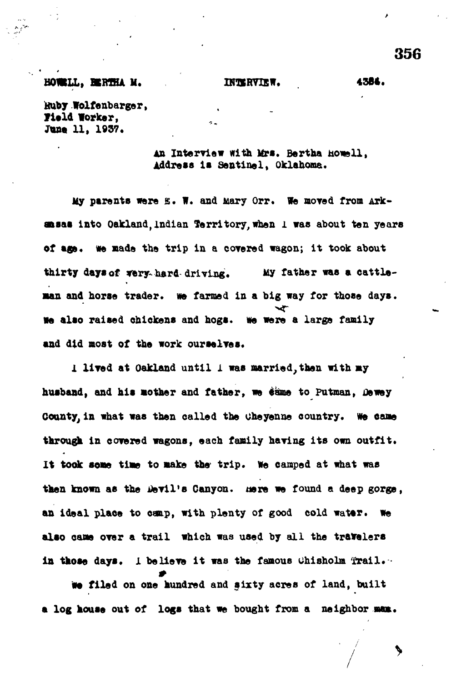### **HOWILL, BIRTHA M. BINTHWIEW. 4384.**

**356**

**Huby WoXfenbarger,** Field Worker, June 11, 1937.

> An Interview with Mrs. Bertha howell. **Address Is Sentinel, Oklahoma.**

**My parents were B. W. and Mary Orr. We moved from Arkansas into OakXand,Indian Territory, when l was about ten years of age, we made the trip in a corered wagon; it took about thirty days of tery-hard driving. Uy father was a cattle man and horse trader, we farmed in a big way for those days. We also raised chickens and hogs. We were a large family and did most of the work ourselres.**

*i* **lived at Oakland until 1 was married,then with my** husband, and his mother and father, we same to Putman, Dewey County, in what was then called the Cheyenne country. We came **through In covered wagons, each family having its own outfit.** It took some time to make the trip. We camped at what was then known as the Devil's Canyon. Here we found a deep gorge, **an ideal plaoe to camp, with plenty of good cold water, we** also came over a trail which was used by all the travelers in those days. I believe it was the famous Chisholm Trail.

**we filed on one hundred and sixty acres of land, built** a log house out of logs that we bought from a neighbor man.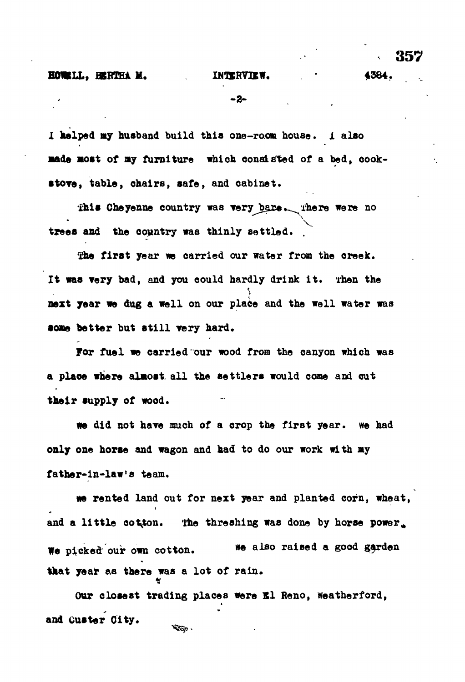**357**

**- 2 -**

**I helped «y husband build this one-room house,** *i* **also •ads most of ay furniture which consisted of a bed, cook- •tore , table , chairs, safe , and cabinet.**

**fhis Cheyenne country was very bare.** There were no trees and the country was thinly settled.

The first year we carried our water from the creek. **It was very bad, and you could hardly drink it . Then the next year we dug a well on our place and the well water was some better but still very hard.** 

For fuel we carried our wood from the canyon which was **a place where almost, al l the settler s would cone and cut** their supply of wood.

we did not have much of a crop the first year. We had **only one horse and wagon and had to do our work with ay father-in-law'8 team.**

**we rented land out for next year and planted corn, wheat,** and a little cotton. The threshing was done by horse power. We picked our own cotton. We also raised a good garden that year as there was a lot of rain.

Our closest trading places were El Reno, Weatherford, **and Ouster City.YEAR**